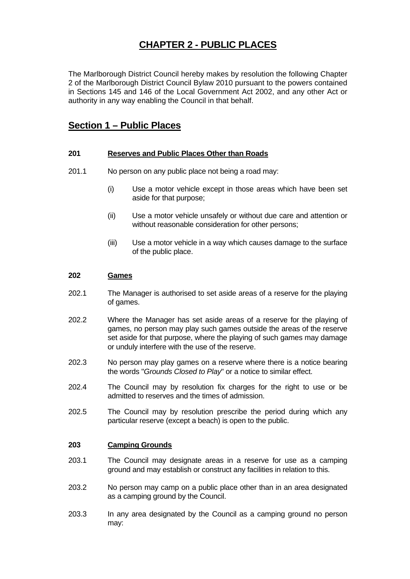# **CHAPTER 2 - PUBLIC PLACES**

The Marlborough District Council hereby makes by resolution the following Chapter 2 of the Marlborough District Council Bylaw 2010 pursuant to the powers contained in Sections 145 and 146 of the Local Government Act 2002, and any other Act or authority in any way enabling the Council in that behalf.

## **Section 1 – Public Places**

## **201 Reserves and Public Places Other than Roads**

- 201.1 No person on any public place not being a road may:
	- (i) Use a motor vehicle except in those areas which have been set aside for that purpose;
	- (ii) Use a motor vehicle unsafely or without due care and attention or without reasonable consideration for other persons;
	- (iii) Use a motor vehicle in a way which causes damage to the surface of the public place.

## **202 Games**

- 202.1 The Manager is authorised to set aside areas of a reserve for the playing of games.
- 202.2 Where the Manager has set aside areas of a reserve for the playing of games, no person may play such games outside the areas of the reserve set aside for that purpose, where the playing of such games may damage or unduly interfere with the use of the reserve.
- 202.3 No person may play games on a reserve where there is a notice bearing the words "*Grounds Closed to Play*" or a notice to similar effect.
- 202.4 The Council may by resolution fix charges for the right to use or be admitted to reserves and the times of admission.
- 202.5 The Council may by resolution prescribe the period during which any particular reserve (except a beach) is open to the public.

## **203 Camping Grounds**

- 203.1 The Council may designate areas in a reserve for use as a camping ground and may establish or construct any facilities in relation to this.
- 203.2 No person may camp on a public place other than in an area designated as a camping ground by the Council.
- 203.3 In any area designated by the Council as a camping ground no person may: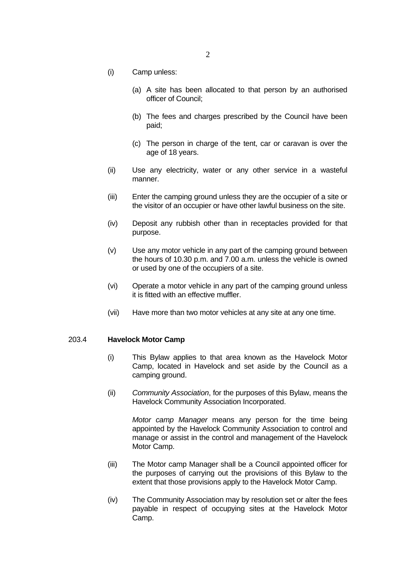- (i) Camp unless:
	- (a) A site has been allocated to that person by an authorised officer of Council;
	- (b) The fees and charges prescribed by the Council have been paid;
	- (c) The person in charge of the tent, car or caravan is over the age of 18 years.
- (ii) Use any electricity, water or any other service in a wasteful manner.
- (iii) Enter the camping ground unless they are the occupier of a site or the visitor of an occupier or have other lawful business on the site.
- (iv) Deposit any rubbish other than in receptacles provided for that purpose.
- (v) Use any motor vehicle in any part of the camping ground between the hours of 10.30 p.m. and 7.00 a.m. unless the vehicle is owned or used by one of the occupiers of a site.
- (vi) Operate a motor vehicle in any part of the camping ground unless it is fitted with an effective muffler.
- (vii) Have more than two motor vehicles at any site at any one time.

#### 203.4 **Havelock Motor Camp**

- (i) This Bylaw applies to that area known as the Havelock Motor Camp, located in Havelock and set aside by the Council as a camping ground.
- (ii) *Community Association*, for the purposes of this Bylaw, means the Havelock Community Association Incorporated.

 *Motor camp Manager* means any person for the time being appointed by the Havelock Community Association to control and manage or assist in the control and management of the Havelock Motor Camp.

- (iii) The Motor camp Manager shall be a Council appointed officer for the purposes of carrying out the provisions of this Bylaw to the extent that those provisions apply to the Havelock Motor Camp.
- (iv) The Community Association may by resolution set or alter the fees payable in respect of occupying sites at the Havelock Motor Camp.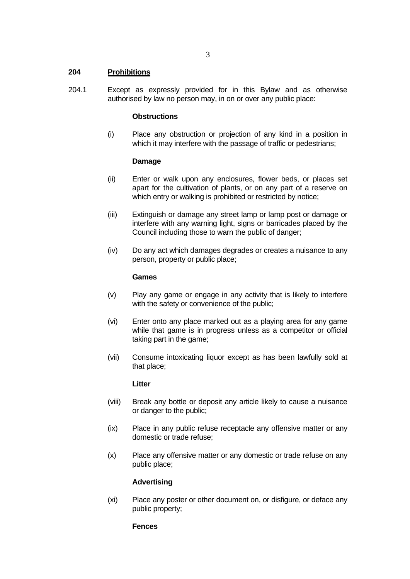## **204 Prohibitions**

204.1 Except as expressly provided for in this Bylaw and as otherwise authorised by law no person may, in on or over any public place:

## **Obstructions**

 (i) Place any obstruction or projection of any kind in a position in which it may interfere with the passage of traffic or pedestrians;

### **Damage**

- (ii) Enter or walk upon any enclosures, flower beds, or places set apart for the cultivation of plants, or on any part of a reserve on which entry or walking is prohibited or restricted by notice;
- (iii) Extinguish or damage any street lamp or lamp post or damage or interfere with any warning light, signs or barricades placed by the Council including those to warn the public of danger;
- (iv) Do any act which damages degrades or creates a nuisance to any person, property or public place;

### **Games**

- (v) Play any game or engage in any activity that is likely to interfere with the safety or convenience of the public;
- (vi) Enter onto any place marked out as a playing area for any game while that game is in progress unless as a competitor or official taking part in the game;
- (vii) Consume intoxicating liquor except as has been lawfully sold at that place;

### **Litter**

- (viii) Break any bottle or deposit any article likely to cause a nuisance or danger to the public;
- (ix) Place in any public refuse receptacle any offensive matter or any domestic or trade refuse;
- (x) Place any offensive matter or any domestic or trade refuse on any public place;

### **Advertising**

 (xi) Place any poster or other document on, or disfigure, or deface any public property;

### **Fences**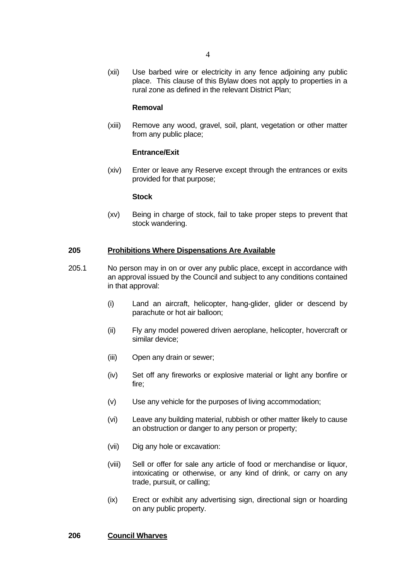(xii) Use barbed wire or electricity in any fence adjoining any public place. This clause of this Bylaw does not apply to properties in a rural zone as defined in the relevant District Plan;

#### **Removal**

 (xiii) Remove any wood, gravel, soil, plant, vegetation or other matter from any public place;

### **Entrance/Exit**

 (xiv) Enter or leave any Reserve except through the entrances or exits provided for that purpose;

#### **Stock**

 (xv) Being in charge of stock, fail to take proper steps to prevent that stock wandering.

## **205 Prohibitions Where Dispensations Are Available**

- 205.1 No person may in on or over any public place, except in accordance with an approval issued by the Council and subject to any conditions contained in that approval:
	- (i) Land an aircraft, helicopter, hang-glider, glider or descend by parachute or hot air balloon;
	- (ii) Fly any model powered driven aeroplane, helicopter, hovercraft or similar device;
	- (iii) Open any drain or sewer;
	- (iv) Set off any fireworks or explosive material or light any bonfire or fire;
	- (v) Use any vehicle for the purposes of living accommodation;
	- (vi) Leave any building material, rubbish or other matter likely to cause an obstruction or danger to any person or property;
	- (vii) Dig any hole or excavation:
	- (viii) Sell or offer for sale any article of food or merchandise or liquor, intoxicating or otherwise, or any kind of drink, or carry on any trade, pursuit, or calling;
	- (ix) Erect or exhibit any advertising sign, directional sign or hoarding on any public property.

### **206 Council Wharves**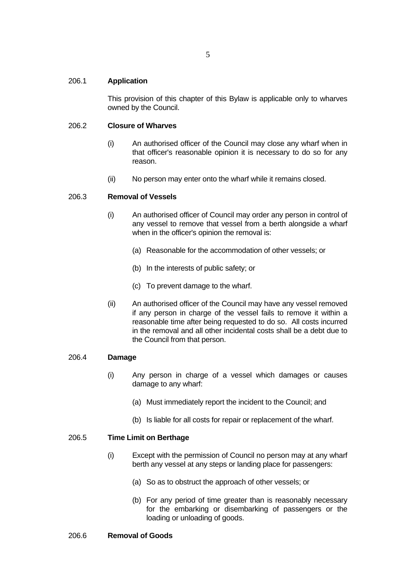This provision of this chapter of this Bylaw is applicable only to wharves owned by the Council.

## 206.2 **Closure of Wharves**

- (i) An authorised officer of the Council may close any wharf when in that officer's reasonable opinion it is necessary to do so for any reason.
- (ii) No person may enter onto the wharf while it remains closed.

## 206.3 **Removal of Vessels**

- (i) An authorised officer of Council may order any person in control of any vessel to remove that vessel from a berth alongside a wharf when in the officer's opinion the removal is:
	- (a) Reasonable for the accommodation of other vessels; or
	- (b) In the interests of public safety; or
	- (c) To prevent damage to the wharf.
- (ii) An authorised officer of the Council may have any vessel removed if any person in charge of the vessel fails to remove it within a reasonable time after being requested to do so. All costs incurred in the removal and all other incidental costs shall be a debt due to the Council from that person.

### 206.4 **Damage**

- (i) Any person in charge of a vessel which damages or causes damage to any wharf:
	- (a) Must immediately report the incident to the Council; and
	- (b) Is liable for all costs for repair or replacement of the wharf.

### 206.5 **Time Limit on Berthage**

- (i) Except with the permission of Council no person may at any wharf berth any vessel at any steps or landing place for passengers:
	- (a) So as to obstruct the approach of other vessels; or
	- (b) For any period of time greater than is reasonably necessary for the embarking or disembarking of passengers or the loading or unloading of goods.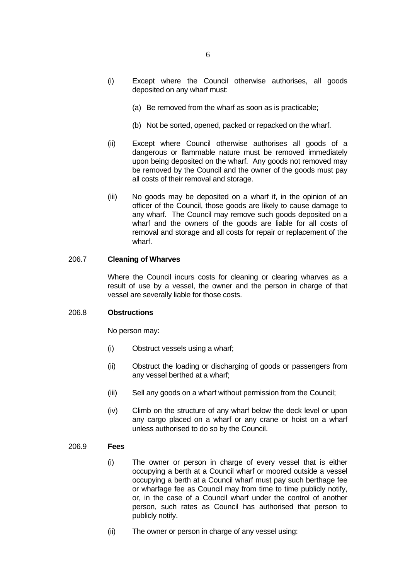- (a) Be removed from the wharf as soon as is practicable;
- (b) Not be sorted, opened, packed or repacked on the wharf.
- (ii) Except where Council otherwise authorises all goods of a dangerous or flammable nature must be removed immediately upon being deposited on the wharf. Any goods not removed may be removed by the Council and the owner of the goods must pay all costs of their removal and storage.
- (iii) No goods may be deposited on a wharf if, in the opinion of an officer of the Council, those goods are likely to cause damage to any wharf. The Council may remove such goods deposited on a wharf and the owners of the goods are liable for all costs of removal and storage and all costs for repair or replacement of the wharf.

## 206.7 **Cleaning of Wharves**

 Where the Council incurs costs for cleaning or clearing wharves as a result of use by a vessel, the owner and the person in charge of that vessel are severally liable for those costs.

### 206.8 **Obstructions**

No person may:

- (i) Obstruct vessels using a wharf;
- (ii) Obstruct the loading or discharging of goods or passengers from any vessel berthed at a wharf;
- (iii) Sell any goods on a wharf without permission from the Council;
- (iv) Climb on the structure of any wharf below the deck level or upon any cargo placed on a wharf or any crane or hoist on a wharf unless authorised to do so by the Council.

### 206.9 **Fees**

- (i) The owner or person in charge of every vessel that is either occupying a berth at a Council wharf or moored outside a vessel occupying a berth at a Council wharf must pay such berthage fee or wharfage fee as Council may from time to time publicly notify, or, in the case of a Council wharf under the control of another person, such rates as Council has authorised that person to publicly notify.
- (ii) The owner or person in charge of any vessel using: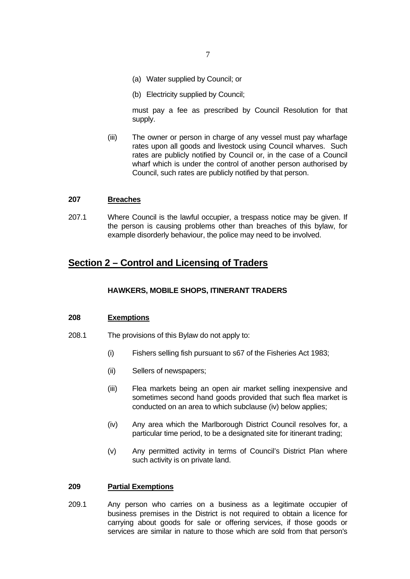- (a) Water supplied by Council; or
- (b) Electricity supplied by Council;

 must pay a fee as prescribed by Council Resolution for that supply.

 (iii) The owner or person in charge of any vessel must pay wharfage rates upon all goods and livestock using Council wharves. Such rates are publicly notified by Council or, in the case of a Council wharf which is under the control of another person authorised by Council, such rates are publicly notified by that person.

## **207 Breaches**

207.1 Where Council is the lawful occupier, a trespass notice may be given. If the person is causing problems other than breaches of this bylaw, for example disorderly behaviour, the police may need to be involved.

## **Section 2 – Control and Licensing of Traders**

### **HAWKERS, MOBILE SHOPS, ITINERANT TRADERS**

#### **208 Exemptions**

- 208.1 The provisions of this Bylaw do not apply to:
	- (i) Fishers selling fish pursuant to s67 of the Fisheries Act 1983;
	- (ii) Sellers of newspapers;
	- (iii) Flea markets being an open air market selling inexpensive and sometimes second hand goods provided that such flea market is conducted on an area to which subclause (iv) below applies;
	- (iv) Any area which the Marlborough District Council resolves for, a particular time period, to be a designated site for itinerant trading;
	- (v) Any permitted activity in terms of Council's District Plan where such activity is on private land.

#### **209 Partial Exemptions**

209.1 Any person who carries on a business as a legitimate occupier of business premises in the District is not required to obtain a licence for carrying about goods for sale or offering services, if those goods or services are similar in nature to those which are sold from that person's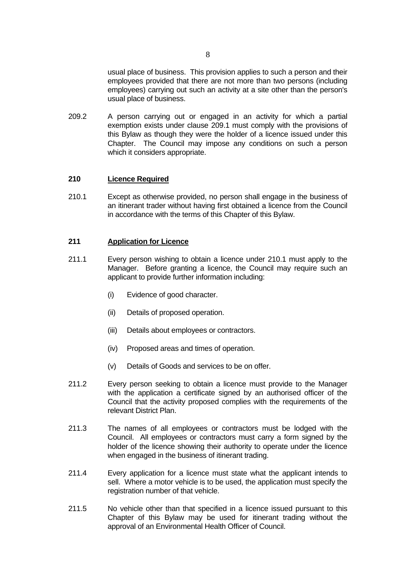usual place of business. This provision applies to such a person and their employees provided that there are not more than two persons (including employees) carrying out such an activity at a site other than the person's usual place of business.

209.2 A person carrying out or engaged in an activity for which a partial exemption exists under clause 209.1 must comply with the provisions of this Bylaw as though they were the holder of a licence issued under this Chapter. The Council may impose any conditions on such a person which it considers appropriate.

## **210 Licence Required**

210.1 Except as otherwise provided, no person shall engage in the business of an itinerant trader without having first obtained a licence from the Council in accordance with the terms of this Chapter of this Bylaw.

## **211 Application for Licence**

- 211.1 Every person wishing to obtain a licence under 210.1 must apply to the Manager. Before granting a licence, the Council may require such an applicant to provide further information including:
	- (i) Evidence of good character.
	- (ii) Details of proposed operation.
	- (iii) Details about employees or contractors.
	- (iv) Proposed areas and times of operation.
	- (v) Details of Goods and services to be on offer.
- 211.2 Every person seeking to obtain a licence must provide to the Manager with the application a certificate signed by an authorised officer of the Council that the activity proposed complies with the requirements of the relevant District Plan.
- 211.3 The names of all employees or contractors must be lodged with the Council. All employees or contractors must carry a form signed by the holder of the licence showing their authority to operate under the licence when engaged in the business of itinerant trading.
- 211.4 Every application for a licence must state what the applicant intends to sell. Where a motor vehicle is to be used, the application must specify the registration number of that vehicle.
- 211.5 No vehicle other than that specified in a licence issued pursuant to this Chapter of this Bylaw may be used for itinerant trading without the approval of an Environmental Health Officer of Council.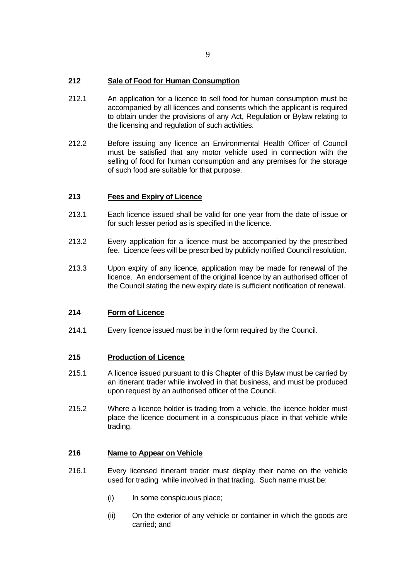- 212.1 An application for a licence to sell food for human consumption must be accompanied by all licences and consents which the applicant is required to obtain under the provisions of any Act, Regulation or Bylaw relating to the licensing and regulation of such activities.
- 212.2 Before issuing any licence an Environmental Health Officer of Council must be satisfied that any motor vehicle used in connection with the selling of food for human consumption and any premises for the storage of such food are suitable for that purpose.

## **213 Fees and Expiry of Licence**

- 213.1 Each licence issued shall be valid for one year from the date of issue or for such lesser period as is specified in the licence.
- 213.2 Every application for a licence must be accompanied by the prescribed fee. Licence fees will be prescribed by publicly notified Council resolution.
- 213.3 Upon expiry of any licence, application may be made for renewal of the licence. An endorsement of the original licence by an authorised officer of the Council stating the new expiry date is sufficient notification of renewal.

## **214 Form of Licence**

214.1 Every licence issued must be in the form required by the Council.

## **215 Production of Licence**

- 215.1 A licence issued pursuant to this Chapter of this Bylaw must be carried by an itinerant trader while involved in that business, and must be produced upon request by an authorised officer of the Council.
- 215.2 Where a licence holder is trading from a vehicle, the licence holder must place the licence document in a conspicuous place in that vehicle while trading.

## **216 Name to Appear on Vehicle**

- 216.1 Every licensed itinerant trader must display their name on the vehicle used for trading while involved in that trading. Such name must be:
	- (i) In some conspicuous place:
	- (ii) On the exterior of any vehicle or container in which the goods are carried; and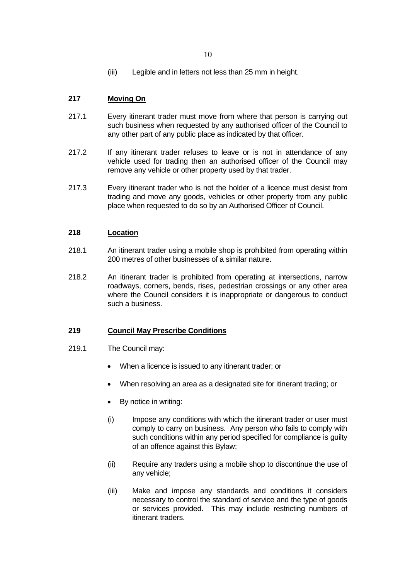(iii) Legible and in letters not less than 25 mm in height.

## **217 Moving On**

- 217.1 Every itinerant trader must move from where that person is carrying out such business when requested by any authorised officer of the Council to any other part of any public place as indicated by that officer.
- 217.2 If any itinerant trader refuses to leave or is not in attendance of any vehicle used for trading then an authorised officer of the Council may remove any vehicle or other property used by that trader.
- 217.3 Every itinerant trader who is not the holder of a licence must desist from trading and move any goods, vehicles or other property from any public place when requested to do so by an Authorised Officer of Council.

## **218 Location**

- 218.1 An itinerant trader using a mobile shop is prohibited from operating within 200 metres of other businesses of a similar nature.
- 218.2 An itinerant trader is prohibited from operating at intersections, narrow roadways, corners, bends, rises, pedestrian crossings or any other area where the Council considers it is inappropriate or dangerous to conduct such a business.

## **219 Council May Prescribe Conditions**

- 219.1 The Council may:
	- When a licence is issued to any itinerant trader; or
	- When resolving an area as a designated site for itinerant trading; or
	- By notice in writing:
	- (i) Impose any conditions with which the itinerant trader or user must comply to carry on business. Any person who fails to comply with such conditions within any period specified for compliance is guilty of an offence against this Bylaw;
	- (ii) Require any traders using a mobile shop to discontinue the use of any vehicle;
	- (iii) Make and impose any standards and conditions it considers necessary to control the standard of service and the type of goods or services provided. This may include restricting numbers of itinerant traders.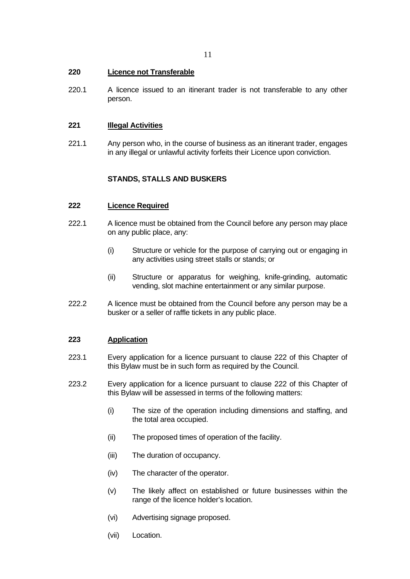## **220 Licence not Transferable**

220.1 A licence issued to an itinerant trader is not transferable to any other person.

## **221 Illegal Activities**

221.1 Any person who, in the course of business as an itinerant trader, engages in any illegal or unlawful activity forfeits their Licence upon conviction.

## **STANDS, STALLS AND BUSKERS**

#### **222 Licence Required**

- 222.1 A licence must be obtained from the Council before any person may place on any public place, any:
	- (i) Structure or vehicle for the purpose of carrying out or engaging in any activities using street stalls or stands; or
	- (ii) Structure or apparatus for weighing, knife-grinding, automatic vending, slot machine entertainment or any similar purpose.
- 222.2 A licence must be obtained from the Council before any person may be a busker or a seller of raffle tickets in any public place.

## **223 Application**

- 223.1 Every application for a licence pursuant to clause 222 of this Chapter of this Bylaw must be in such form as required by the Council.
- 223.2 Every application for a licence pursuant to clause 222 of this Chapter of this Bylaw will be assessed in terms of the following matters:
	- (i) The size of the operation including dimensions and staffing, and the total area occupied.
	- (ii) The proposed times of operation of the facility.
	- (iii) The duration of occupancy.
	- (iv) The character of the operator.
	- (v) The likely affect on established or future businesses within the range of the licence holder's location.
	- (vi) Advertising signage proposed.
	- (vii) Location.